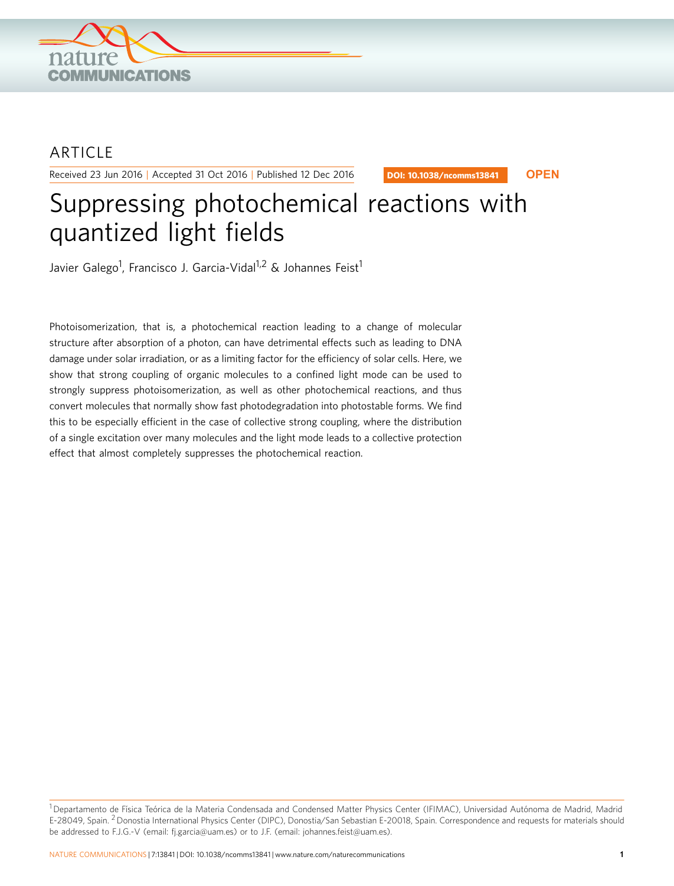

## ARTICLE

Received 23 Jun 2016 | Accepted 31 Oct 2016 | Published 12 Dec 2016

DOI: 10.1038/ncomms13841 **OPEN**

# Suppressing photochemical reactions with quantized light fields

Javier Galego<sup>1</sup>, Francisco J. Garcia-Vidal<sup>1,2</sup> & Johannes Feist<sup>1</sup>

Photoisomerization, that is, a photochemical reaction leading to a change of molecular structure after absorption of a photon, can have detrimental effects such as leading to DNA damage under solar irradiation, or as a limiting factor for the efficiency of solar cells. Here, we show that strong coupling of organic molecules to a confined light mode can be used to strongly suppress photoisomerization, as well as other photochemical reactions, and thus convert molecules that normally show fast photodegradation into photostable forms. We find this to be especially efficient in the case of collective strong coupling, where the distribution of a single excitation over many molecules and the light mode leads to a collective protection effect that almost completely suppresses the photochemical reaction.

<sup>&</sup>lt;sup>1</sup> Departamento de Física Teórica de la Materia Condensada and Condensed Matter Physics Center (IFIMAC), Universidad Autónoma de Madrid, Madrid E-28049, Spain. <sup>2</sup> Donostia International Physics Center (DIPC), Donostia/San Sebastian E-20018, Spain. Correspondence and requests for materials should be addressed to F.J.G.-V (email: [fj.garcia@uam.es\)](mailto:fj.garcia@uam.es) or to J.F. (email: [johannes.feist@uam.es\)](mailto:johannes.feist@uam.es).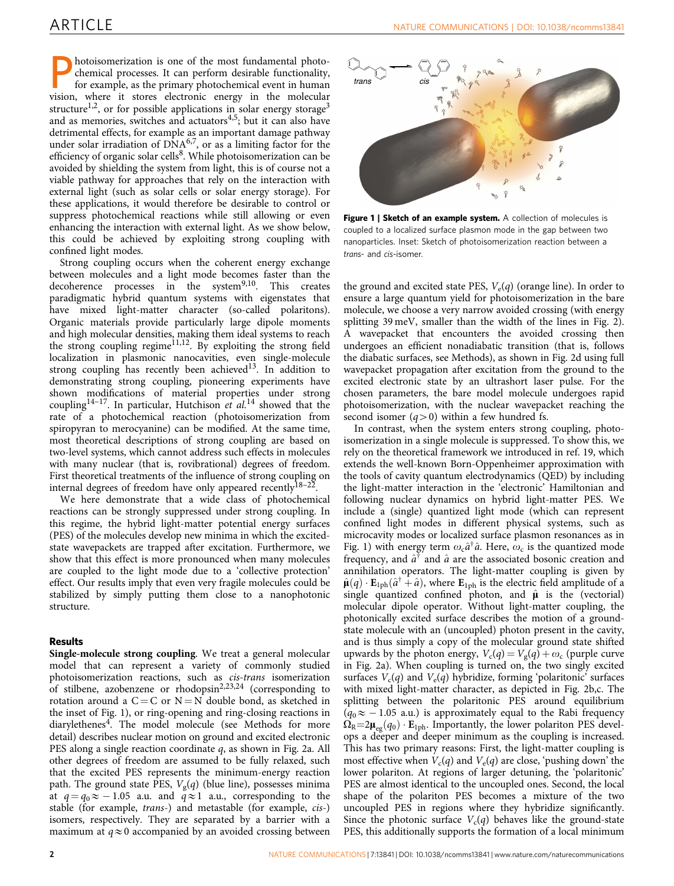hotoisomerization is one of the most fundamental photochemical processes. It can perform desirable functionality, for example, as the primary photochemical event in human vision, where it stores electronic energy in the molecular structure<sup>[1,2](#page-4-0)</sup>, or for possible applications in solar energy storage<sup>3</sup> and as memories, switches and actuators<sup>[4,5](#page-4-0)</sup>; but it can also have detrimental effects, for example as an important damage pathway under solar irradiation of  $DNA<sup>6,7</sup>$ , or as a limiting factor for the efficiency of organic solar cells $8$ . While photoisomerization can be avoided by shielding the system from light, this is of course not a viable pathway for approaches that rely on the interaction with external light (such as solar cells or solar energy storage). For these applications, it would therefore be desirable to control or suppress photochemical reactions while still allowing or even enhancing the interaction with external light. As we show below, this could be achieved by exploiting strong coupling with confined light modes.

Strong coupling occurs when the coherent energy exchange between molecules and a light mode becomes faster than the decoherence processes in the system<sup>9,10</sup>. This creates paradigmatic hybrid quantum systems with eigenstates that have mixed light-matter character (so-called polaritons). Organic materials provide particularly large dipole moments and high molecular densities, making them ideal systems to reach the strong coupling regime<sup>11,12</sup>. By exploiting the strong field localization in plasmonic nanocavities, even single-molecule strong coupling has recently been achieved<sup>13</sup>. In addition to demonstrating strong coupling, pioneering experiments have shown modifications of material properties under strong coupling<sup>[14](#page-4-0)–17</sup>. In particular, Hutchison et al.<sup>14</sup> showed that the rate of a photochemical reaction (photoisomerization from spiropyran to merocyanine) can be modified. At the same time, most theoretical descriptions of strong coupling are based on two-level systems, which cannot address such effects in molecules with many nuclear (that is, rovibrational) degrees of freedom. First theoretical treatments of the influence of strong coupling on internal degrees of freedom have only appeared recently<sup>18-22</sup>.

We here demonstrate that a wide class of photochemical reactions can be strongly suppressed under strong coupling. In this regime, the hybrid light-matter potential energy surfaces (PES) of the molecules develop new minima in which the excitedstate wavepackets are trapped after excitation. Furthermore, we show that this effect is more pronounced when many molecules are coupled to the light mode due to a 'collective protection' effect. Our results imply that even very fragile molecules could be stabilized by simply putting them close to a nanophotonic structure.

### Results

Single-molecule strong coupling. We treat a general molecular model that can represent a variety of commonly studied photoisomerization reactions, such as cis-trans isomerization of stilbene, azobenzene or  $rhodopsin<sup>2,23,24</sup>$  $rhodopsin<sup>2,23,24</sup>$  $rhodopsin<sup>2,23,24</sup>$  (corresponding to rotation around a  $C = C$  or  $N = N$  double bond, as sketched in the inset of Fig. 1), or ring-opening and ring-closing reactions in diarylethenes<sup>[4](#page-4-0)</sup>. The model molecule (see Methods for more detail) describes nuclear motion on ground and excited electronic PES along a single reaction coordinate q, as shown in [Fig. 2a.](#page-2-0) All other degrees of freedom are assumed to be fully relaxed, such that the excited PES represents the minimum-energy reaction path. The ground state PES,  $V_g(q)$  (blue line), possesses minima at  $q = q_0 \approx -1.05$  a.u. and  $q \approx 1$  a.u., corresponding to the stable (for example, trans-) and metastable (for example, cis-) isomers, respectively. They are separated by a barrier with a maximum at  $q \approx 0$  accompanied by an avoided crossing between



Figure 1 | Sketch of an example system. A collection of molecules is coupled to a localized surface plasmon mode in the gap between two nanoparticles. Inset: Sketch of photoisomerization reaction between a trans- and cis-isomer.

the ground and excited state PES,  $V_e(q)$  (orange line). In order to ensure a large quantum yield for photoisomerization in the bare molecule, we choose a very narrow avoided crossing (with energy splitting 39 meV, smaller than the width of the lines in [Fig. 2](#page-2-0)). A wavepacket that encounters the avoided crossing then undergoes an efficient nonadiabatic transition (that is, follows the diabatic surfaces, see Methods), as shown in [Fig. 2d](#page-2-0) using full wavepacket propagation after excitation from the ground to the excited electronic state by an ultrashort laser pulse. For the chosen parameters, the bare model molecule undergoes rapid photoisomerization, with the nuclear wavepacket reaching the second isomer  $(q>0)$  within a few hundred fs.

In contrast, when the system enters strong coupling, photoisomerization in a single molecule is suppressed. To show this, we rely on the theoretical framework we introduced in [ref. 19](#page-4-0), which extends the well-known Born-Oppenheimer approximation with the tools of cavity quantum electrodynamics (QED) by including the light-matter interaction in the 'electronic' Hamiltonian and following nuclear dynamics on hybrid light-matter PES. We include a (single) quantized light mode (which can represent confined light modes in different physical systems, such as microcavity modes or localized surface plasmon resonances as in Fig. 1) with energy term  $\omega_c\hat{a}^\dagger\hat{a}$ . Here,  $\omega_c$  is the quantized mode frequency, and  $\hat{a}^{\dagger}$  and  $\hat{a}$  are the associated bosonic creation and annihilation operators. The light-matter coupling is given by  $\hat{\mu}(q) \cdot \mathbf{E}_{1ph}(\hat{a}^\dagger + \hat{a})$ , where  $\mathbf{E}_{1ph}$  is the electric field amplitude of a single quantized confined photon, and  $\hat{\mu}$  is the (vectorial) molecular dipole operator. Without light-matter coupling, the photonically excited surface describes the motion of a groundstate molecule with an (uncoupled) photon present in the cavity, and is thus simply a copy of the molecular ground state shifted upwards by the photon energy,  $V_c(q) = V_g(q) + \omega_c$  (purple curve in [Fig. 2a\)](#page-2-0). When coupling is turned on, the two singly excited surfaces  $V_c(q)$  and  $V_e(q)$  hybridize, forming 'polaritonic' surfaces with mixed light-matter character, as depicted in [Fig. 2b,c](#page-2-0). The splitting between the polaritonic PES around equilibrium  $(q_0 \approx -1.05 \text{ a.u.})$  is approximately equal to the Rabi frequency  $\Omega_{\rm R}$ =2 $\mu_{\rm eg}(q_0) \cdot E_{\rm 1ph}$ . Importantly, the lower polariton PES develops a deeper and deeper minimum as the coupling is increased. This has two primary reasons: First, the light-matter coupling is most effective when  $V_c(q)$  and  $V_e(q)$  are close, 'pushing down' the lower polariton. At regions of larger detuning, the 'polaritonic' PES are almost identical to the uncoupled ones. Second, the local shape of the polariton PES becomes a mixture of the two uncoupled PES in regions where they hybridize significantly. Since the photonic surface  $V_c(q)$  behaves like the ground-state PES, this additionally supports the formation of a local minimum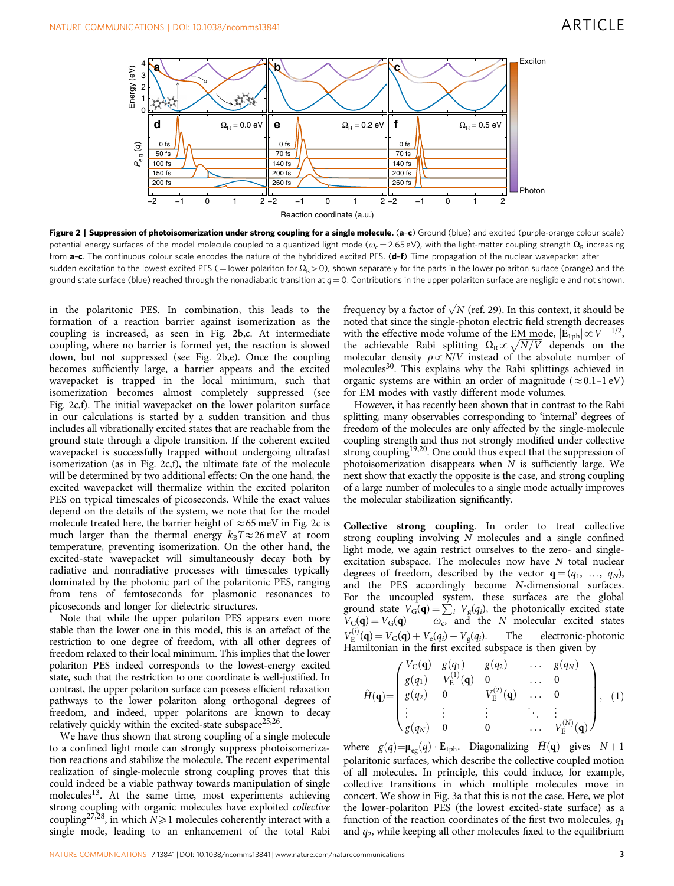<span id="page-2-0"></span>

Figure 2 | Suppression of photoisomerization under strong coupling for a single molecule. (a-c) Ground (blue) and excited (purple-orange colour scale) potential energy surfaces of the model molecule coupled to a quantized light mode ( $\omega_c = 2.65 \text{ eV}$ ), with the light-matter coupling strength  $\Omega_R$  increasing from a-c. The continuous colour scale encodes the nature of the hybridized excited PES. (d-f) Time propagation of the nuclear wavepacket after sudden excitation to the lowest excited PES (= lower polariton for  $\Omega_R > 0$ ), shown separately for the parts in the lower polariton surface (orange) and the ground state surface (blue) reached through the nonadiabatic transition at  $q = 0$ . Contributions in the upper polariton surface are negligible and not shown.

in the polaritonic PES. In combination, this leads to the formation of a reaction barrier against isomerization as the coupling is increased, as seen in Fig. 2b,c. At intermediate coupling, where no barrier is formed yet, the reaction is slowed down, but not suppressed (see Fig. 2b,e). Once the coupling becomes sufficiently large, a barrier appears and the excited wavepacket is trapped in the local minimum, such that isomerization becomes almost completely suppressed (see Fig. 2c,f). The initial wavepacket on the lower polariton surface in our calculations is started by a sudden transition and thus includes all vibrationally excited states that are reachable from the ground state through a dipole transition. If the coherent excited wavepacket is successfully trapped without undergoing ultrafast isomerization (as in Fig. 2c,f), the ultimate fate of the molecule will be determined by two additional effects: On the one hand, the excited wavepacket will thermalize within the excited polariton PES on typical timescales of picoseconds. While the exact values depend on the details of the system, we note that for the model molecule treated here, the barrier height of  $\approx$  65 meV in Fig. 2c is much larger than the thermal energy  $k_B T \approx 26$  meV at room temperature, preventing isomerization. On the other hand, the excited-state wavepacket will simultaneously decay both by radiative and nonradiative processes with timescales typically dominated by the photonic part of the polaritonic PES, ranging from tens of femtoseconds for plasmonic resonances to picoseconds and longer for dielectric structures.

Note that while the upper polariton PES appears even more stable than the lower one in this model, this is an artefact of the restriction to one degree of freedom, with all other degrees of freedom relaxed to their local minimum. This implies that the lower polariton PES indeed corresponds to the lowest-energy excited state, such that the restriction to one coordinate is well-justified. In contrast, the upper polariton surface can possess efficient relaxation pathways to the lower polariton along orthogonal degrees of freedom, and indeed, upper polaritons are known to decay relatively quickly within the excited-state subspace<sup>[25,26](#page-4-0)</sup>.

We have thus shown that strong coupling of a single molecule to a confined light mode can strongly suppress photoisomerization reactions and stabilize the molecule. The recent experimental realization of single-molecule strong coupling proves that this could indeed be a viable pathway towards manipulation of single molecules<sup>[13](#page-4-0)</sup>. At the same time, most experiments achieving strong coupling with organic molecules have exploited collective coupling<sup>27,28</sup>, in which  $N \ge 1$  molecules coherently interact with a single mode, leading to an enhancement of the total Rabi frequency by a factor of  $\sqrt{N}$  [\(ref. 29](#page-5-0)). In this context, it should be noted that since the single-photon electric field strength decreases with the effective mode volume of the EM mode,  $|\mathbf{E}_{1ph}| \propto V^{-1/2}$ , the achievable Rabi splitting  $\Omega_R \propto \sqrt{N/V}$  depends on the molecular density  $\rho \propto N/V$  instead of the absolute number of molecules<sup>[30](#page-5-0)</sup>. This explains why the Rabi splittings achieved in organic systems are within an order of magnitude ( $\approx 0.1$ –1 eV) for EM modes with vastly different mode volumes.

However, it has recently been shown that in contrast to the Rabi splitting, many observables corresponding to 'internal' degrees of freedom of the molecules are only affected by the single-molecule coupling strength and thus not strongly modified under collective strong coupling<sup>[19,20](#page-4-0)</sup>. One could thus expect that the suppression of photoisomerization disappears when  $N$  is sufficiently large. We next show that exactly the opposite is the case, and strong coupling of a large number of molecules to a single mode actually improves the molecular stabilization significantly.

Collective strong coupling. In order to treat collective strong coupling involving N molecules and a single confined light mode, we again restrict ourselves to the zero- and singleexcitation subspace. The molecules now have N total nuclear degrees of freedom, described by the vector  $\mathbf{q} = (q_1, \ldots, q_N)$ , and the PES accordingly become N-dimensional surfaces. For the uncoupled system, these surfaces are the global ground state  $V_G(\mathbf{q}) = \sum_i V_g(q_i)$ , the photonically excited state  $V_{\rm C}(\mathbf{q}) = V_{\rm G}(\mathbf{q}) + \omega_{\rm c}$  and the N molecular excited states  $V_{\rm E}^{(i)}({\bf q})=V_{\rm G}({\bf q})+V_{\rm e}(q_i)$  – The electronic-photonic Hamiltonian in the first excited subspace is then given by

$$
\hat{H}(\mathbf{q}) = \begin{pmatrix}\nV_{\text{C}}(\mathbf{q}) & g(q_1) & g(q_2) & \dots & g(q_N) \\
g(q_1) & V_{\text{E}}^{(1)}(\mathbf{q}) & 0 & \dots & 0 \\
g(q_2) & 0 & V_{\text{E}}^{(2)}(\mathbf{q}) & \dots & 0 \\
\vdots & \vdots & \vdots & \ddots & \vdots \\
g(q_N) & 0 & 0 & \dots & V_{\text{E}}^{(N)}(\mathbf{q})\n\end{pmatrix}, (1)
$$

where  $g(q) = \mu_{eg}(q) \cdot \mathbf{E}_{1ph}$ . Diagonalizing  $H(\mathbf{q})$  gives  $N + 1$ polaritonic surfaces, which describe the collective coupled motion of all molecules. In principle, this could induce, for example, collective transitions in which multiple molecules move in concert. We show in [Fig. 3a](#page-3-0) that this is not the case. Here, we plot the lower-polariton PES (the lowest excited-state surface) as a function of the reaction coordinates of the first two molecules,  $q_1$ and  $q_2$ , while keeping all other molecules fixed to the equilibrium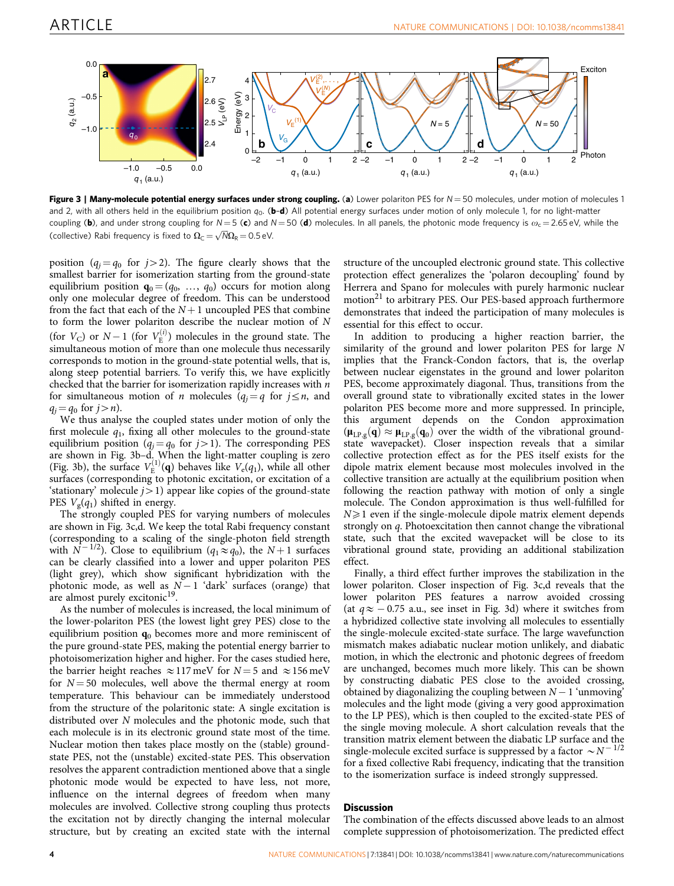<span id="page-3-0"></span>

Figure 3 | Many-molecule potential energy surfaces under strong coupling. (a) Lower polariton PES for  $N = 50$  molecules, under motion of molecules 1 and 2, with all others held in the equilibrium position  $q_0$ . (b-d) All potential energy surfaces under motion of only molecule 1, for no light-matter coupling (b), and under strong coupling for N = 5 (c) and N = 50 (d) molecules. In all panels, the photonic mode frequency is  $\omega_c = 2.65 \text{ eV}$ , while the collective) Rabi frequency is fixed to  $\Omega_c = \sqrt{N} \Omega_R = 0.5$  eV.

position ( $q_i = q_0$  for  $j > 2$ ). The figure clearly shows that the smallest barrier for isomerization starting from the ground-state equilibrium position  $\mathbf{q}_0 = (q_0, \ldots, q_0)$  occurs for motion along only one molecular degree of freedom. This can be understood from the fact that each of the  $N+1$  uncoupled PES that combine to form the lower polariton describe the nuclear motion of N (for  $V_{\text{C}}$ ) or  $N-1$  (for  $V_{\text{E}}^{(i)}$ ) molecules in the ground state. The simultaneous motion of more than one molecule thus necessarily corresponds to motion in the ground-state potential wells, that is, along steep potential barriers. To verify this, we have explicitly checked that the barrier for isomerization rapidly increases with  $n$ for simultaneous motion of *n* molecules  $(q_i = q \text{ for } j \leq n, \text{ and }$  $q_j = q_0$  for  $j > n$ ).

We thus analyse the coupled states under motion of only the first molecule  $q_1$ , fixing all other molecules to the ground-state equilibrium position ( $q_j = q_0$  for  $j > 1$ ). The corresponding PES are shown in Fig. 3b–d. When the light-matter coupling is zero (Fig. 3b), the surface  $V_E^{(1)}(\mathbf{q})$  behaves like  $V_e(q_1)$ , while all other surfaces (corresponding to photonic excitation, or excitation of a 'stationary' molecule  $j>1$ ) appear like copies of the ground-state PES  $V_g(q_1)$  shifted in energy.

The strongly coupled PES for varying numbers of molecules are shown in Fig. 3c,d. We keep the total Rabi frequency constant (corresponding to a scaling of the single-photon field strength with  $N^{-1/2}$ ). Close to equilibrium  $(q_1 \approx q_0)$ , the  $N+1$  surfaces can be clearly classified into a lower and upper polariton PES (light grey), which show significant hybridization with the photonic mode, as well as  $N-1$  'dark' surfaces (orange) that are almost purely excitonic<sup>19</sup>.

As the number of molecules is increased, the local minimum of the lower-polariton PES (the lowest light grey PES) close to the equilibrium position  $q_0$  becomes more and more reminiscent of the pure ground-state PES, making the potential energy barrier to photoisomerization higher and higher. For the cases studied here, the barrier height reaches  $\approx$  117 meV for N = 5 and  $\approx$  156 meV for  $N = 50$  molecules, well above the thermal energy at room temperature. This behaviour can be immediately understood from the structure of the polaritonic state: A single excitation is distributed over N molecules and the photonic mode, such that each molecule is in its electronic ground state most of the time. Nuclear motion then takes place mostly on the (stable) groundstate PES, not the (unstable) excited-state PES. This observation resolves the apparent contradiction mentioned above that a single photonic mode would be expected to have less, not more, influence on the internal degrees of freedom when many molecules are involved. Collective strong coupling thus protects the excitation not by directly changing the internal molecular structure, but by creating an excited state with the internal

structure of the uncoupled electronic ground state. This collective protection effect generalizes the 'polaron decoupling' found by Herrera and Spano for molecules with purely harmonic nuclear motion<sup>[21](#page-4-0)</sup> to arbitrary PES. Our PES-based approach furthermore demonstrates that indeed the participation of many molecules is essential for this effect to occur.

In addition to producing a higher reaction barrier, the similarity of the ground and lower polariton PES for large N implies that the Franck-Condon factors, that is, the overlap between nuclear eigenstates in the ground and lower polariton PES, become approximately diagonal. Thus, transitions from the overall ground state to vibrationally excited states in the lower polariton PES become more and more suppressed. In principle, this argument depends on the Condon approximation  $(\mu_{LP,g}(\mathbf{q}) \approx \mu_{LP,g}(\mathbf{q}_0))$  over the width of the vibrational groundstate wavepacket). Closer inspection reveals that a similar collective protection effect as for the PES itself exists for the dipole matrix element because most molecules involved in the collective transition are actually at the equilibrium position when following the reaction pathway with motion of only a single molecule. The Condon approximation is thus well-fulfilled for  $N \geq 1$  even if the single-molecule dipole matrix element depends strongly on q. Photoexcitation then cannot change the vibrational state, such that the excited wavepacket will be close to its vibrational ground state, providing an additional stabilization effect.

Finally, a third effect further improves the stabilization in the lower polariton. Closer inspection of Fig. 3c,d reveals that the lower polariton PES features a narrow avoided crossing (at  $q \approx -0.75$  a.u., see inset in Fig. 3d) where it switches from a hybridized collective state involving all molecules to essentially the single-molecule excited-state surface. The large wavefunction mismatch makes adiabatic nuclear motion unlikely, and diabatic motion, in which the electronic and photonic degrees of freedom are unchanged, becomes much more likely. This can be shown by constructing diabatic PES close to the avoided crossing, obtained by diagonalizing the coupling between  $N - 1$  'unmoving' molecules and the light mode (giving a very good approximation to the LP PES), which is then coupled to the excited-state PES of the single moving molecule. A short calculation reveals that the transition matrix element between the diabatic LP surface and the single-molecule excited surface is suppressed by a factor  $\sim N^{-1/2}$ for a fixed collective Rabi frequency, indicating that the transition to the isomerization surface is indeed strongly suppressed.

#### **Discussion**

The combination of the effects discussed above leads to an almost complete suppression of photoisomerization. The predicted effect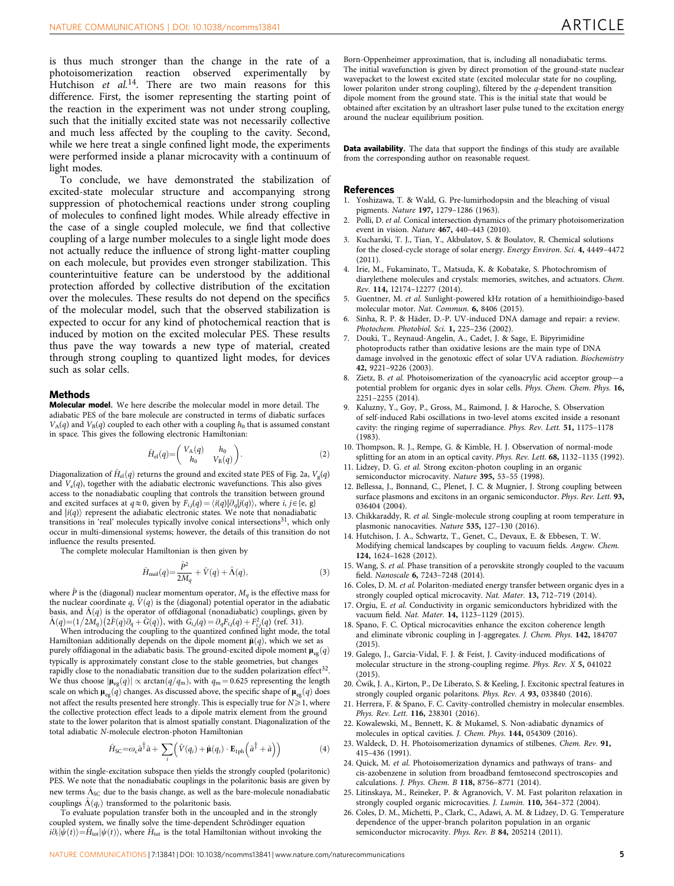<span id="page-4-0"></span>is thus much stronger than the change in the rate of a photoisomerization reaction observed experimentally by Hutchison et  $al^{14}$ . There are two main reasons for this difference. First, the isomer representing the starting point of the reaction in the experiment was not under strong coupling, such that the initially excited state was not necessarily collective and much less affected by the coupling to the cavity. Second, while we here treat a single confined light mode, the experiments were performed inside a planar microcavity with a continuum of light modes.

To conclude, we have demonstrated the stabilization of excited-state molecular structure and accompanying strong suppression of photochemical reactions under strong coupling of molecules to confined light modes. While already effective in the case of a single coupled molecule, we find that collective coupling of a large number molecules to a single light mode does not actually reduce the influence of strong light-matter coupling on each molecule, but provides even stronger stabilization. This counterintuitive feature can be understood by the additional protection afforded by collective distribution of the excitation over the molecules. These results do not depend on the specifics of the molecular model, such that the observed stabilization is expected to occur for any kind of photochemical reaction that is induced by motion on the excited molecular PES. These results thus pave the way towards a new type of material, created through strong coupling to quantized light modes, for devices such as solar cells.

#### Methods

Molecular model. We here describe the molecular model in more detail. The adiabatic PES of the bare molecule are constructed in terms of diabatic surfaces  $V_A(q)$  and  $V_B(q)$  coupled to each other with a coupling  $h_0$  that is assumed constant in space. This gives the following electronic Hamiltonian:

$$
\hat{H}_{\rm el}(q) = \begin{pmatrix} V_{\rm A}(q) & h_0 \\ h_0 & V_{\rm B}(q) \end{pmatrix} . \tag{2}
$$

Diagonalization of  $\hat{H}_{el}(q)$  returns the ground and excited state PES of [Fig. 2a,](#page-2-0)  $V_g(q)$ and  $V_e(q)$ , together with the adiabatic electronic wavefunctions. This also gives access to the nonadiabatic coupling that controls the transition between ground and excited surfaces at  $q \approx 0$ , given by  $F_{i,j}(q) = \langle i(q)|\partial_q|j(q)\rangle$ , where i,  $j \in \{e, g\}$ and  $|i(q)\rangle$  represent the adiabatic electronic states. We note that nonadiabatic transitions in 'real' molecules typically involve conical intersections<sup>31</sup>, which only occur in multi-dimensional systems; however, the details of this transition do not influence the results presented.

The complete molecular Hamiltonian is then given by

$$
\hat{H}_{\text{mol}}(q) = \frac{\hat{P}^2}{2M_q} + \hat{V}(q) + \hat{\Lambda}(q),\tag{3}
$$

where  $\hat{P}$  is the (diagonal) nuclear momentum operator,  $M_q$  is the effective mass for the nuclear coordinate q,  $\hat{V}(q)$  is the (diagonal) potential operator in the adiabatic basis, and  $\hat{\Lambda}(q)$  is the operator of offdiagonal (nonadiabatic) couplings, given by  $\hat{\Lambda}(q) = (1/2M_q)(2\hat{F}(q)\partial_q + \hat{G}(q))$ , with  $G_{i,j}(q) = \partial_qF_{i,j}(q) + F_{i,j}^2(q)$  ([ref. 31](#page-5-0)).

When introducing the coupling to the quantized confined light mode, the total Hamiltonian additionally depends on the dipole moment  $\hat{\mu}(q)$ , which we set as purely offdiagonal in the adiabatic basis. The ground-excited dipole moment  $\mu_{eg}(q)$ typically is approximately constant close to the stable geometries, but changes rapidly close to the nonadiabatic transition due to the sudden polarization effect<sup>[32](#page-5-0)</sup>. We thus choose  $|\boldsymbol{\mu}_{\rm eg}(q)|\propto\arctan(q/q_{\rm m})$  , with  $q_{\rm m}\!=\!0.625$  representing the length scale on which  $\mu_{eg}(\check{q})$  changes. As discussed above, the specific shape of  $\mu_{eg}(q)$  does not affect the results presented here strongly. This is especially true for  $N \ge 1$ , where the collective protection effect leads to a dipole matrix element from the ground state to the lower polariton that is almost spatially constant. Diagonalization of the total adiabatic N-molecule electron-photon Hamiltonian

$$
\hat{H}_{\rm SC} = \omega_{\rm c} \hat{a}^\dagger \hat{a} + \sum_i \left( \hat{V}(q_i) + \hat{\mu}(q_i) \cdot \mathbf{E}_{\rm 1ph} \left( \hat{a}^\dagger + \hat{a} \right) \right) \tag{4}
$$

within the single-excitation subspace then yields the strongly coupled (polaritonic) PES. We note that the nonadiabatic couplings in the polaritonic basis are given by new terms  $\hat{\Lambda}_{SC}$  due to the basis change, as well as the bare-molecule nonadiabatic couplings  $\hat{\Lambda}(q_i)$  transformed to the polaritonic basis.

To evaluate population transfer both in the uncoupled and in the strongly coupled system, we finally solve the time-dependent Schrödinger equation  $i\partial_t |\psi(t)\rangle = H_{\text{tot}} |\psi(t)\rangle$ , where  $H_{\text{tot}}$  is the total Hamiltonian without invoking the

Born-Oppenheimer approximation, that is, including all nonadiabatic terms. The initial wavefunction is given by direct promotion of the ground-state nuclear wavepacket to the lowest excited state (excited molecular state for no coupling, lower polariton under strong coupling), filtered by the q-dependent transition dipole moment from the ground state. This is the initial state that would be obtained after excitation by an ultrashort laser pulse tuned to the excitation energy around the nuclear equilibrium position.

**Data availability.** The data that support the findings of this study are available from the corresponding author on reasonable request.

#### References

- 1. Yoshizawa, T. & Wald, G. Pre-lumirhodopsin and the bleaching of visual pigments. Nature 197, 1279–1286 (1963).
- 2. Polli, D. et al. Conical intersection dynamics of the primary photoisomerization event in vision. Nature 467, 440–443 (2010).
- 3. Kucharski, T. J., Tian, Y., Akbulatov, S. & Boulatov, R. Chemical solutions for the closed-cycle storage of solar energy. Energy Environ. Sci. 4, 4449–4472  $(2011)$
- 4. Irie, M., Fukaminato, T., Matsuda, K. & Kobatake, S. Photochromism of diarylethene molecules and crystals: memories, switches, and actuators. Chem. Rev. 114, 12174–12277 (2014).
- 5. Guentner, M. et al. Sunlight-powered kHz rotation of a hemithioindigo-based molecular motor. Nat. Commun. 6, 8406 (2015).
- 6. Sinha, R. P. & Häder, D.-P. UV-induced DNA damage and repair: a review. Photochem. Photobiol. Sci. 1, 225–236 (2002).
- 7. Douki, T., Reynaud-Angelin, A., Cadet, J. & Sage, E. Bipyrimidine photoproducts rather than oxidative lesions are the main type of DNA damage involved in the genotoxic effect of solar UVA radiation. Biochemistry 42, 9221–9226 (2003).
- 8. Zietz, B. et al. Photoisomerization of the cyanoacrylic acid acceptor group—a potential problem for organic dyes in solar cells. Phys. Chem. Chem. Phys. 16, 2251–2255 (2014).
- 9. Kaluzny, Y., Goy, P., Gross, M., Raimond, J. & Haroche, S. Observation of self-induced Rabi oscillations in two-level atoms excited inside a resonant cavity: the ringing regime of superradiance. Phys. Rev. Lett. 51, 1175–1178 (1983).
- 10. Thompson, R. J., Rempe, G. & Kimble, H. J. Observation of normal-mode splitting for an atom in an optical cavity. Phys. Rev. Lett. 68, 1132-1135 (1992).
- 11. Lidzey, D. G. et al. Strong exciton-photon coupling in an organic semiconductor microcavity. Nature 395, 53-55 (1998).
- 12. Bellessa, J., Bonnand, C., Plenet, J. C. & Mugnier, J. Strong coupling between surface plasmons and excitons in an organic semiconductor. Phys. Rev. Lett. 93, 036404 (2004).
- 13. Chikkaraddy, R. et al. Single-molecule strong coupling at room temperature in plasmonic nanocavities. Nature 535, 127–130 (2016).
- 14. Hutchison, J. A., Schwartz, T., Genet, C., Devaux, E. & Ebbesen, T. W. Modifying chemical landscapes by coupling to vacuum fields. Angew. Chem. 124, 1624–1628 (2012).
- 15. Wang, S. et al. Phase transition of a perovskite strongly coupled to the vacuum field. Nanoscale 6, 7243–7248 (2014).
- 16. Coles, D. M. et al. Polariton-mediated energy transfer between organic dyes in a strongly coupled optical microcavity. Nat. Mater. 13, 712–719 (2014).
- 17. Orgiu, E. et al. Conductivity in organic semiconductors hybridized with the vacuum field. Nat. Mater. 14, 1123–1129 (2015).
- 18. Spano, F. C. Optical microcavities enhance the exciton coherence length and eliminate vibronic coupling in J-aggregates. J. Chem. Phys. 142, 184707  $(2015)$
- 19. Galego, J., Garcia-Vidal, F. J. & Feist, J. Cavity-induced modifications of molecular structure in the strong-coupling regime. Phys. Rev. X 5, 041022 (2015).
- 20. C´wik, J. A., Kirton, P., De Liberato, S. & Keeling, J. Excitonic spectral features in strongly coupled organic polaritons. Phys. Rev. A 93, 033840 (2016).
- 21. Herrera, F. & Spano, F. C. Cavity-controlled chemistry in molecular ensembles. Phys. Rev. Lett. 116, 238301 (2016).
- 22. Kowalewski, M., Bennett, K. & Mukamel, S. Non-adiabatic dynamics of molecules in optical cavities. J. Chem. Phys. 144, 054309 (2016).
- 23. Waldeck, D. H. Photoisomerization dynamics of stilbenes. Chem. Rev. 91, 415–436 (1991).
- 24. Quick, M. et al. Photoisomerization dynamics and pathways of trans- and cis-azobenzene in solution from broadband femtosecond spectroscopies and calculations. J. Phys. Chem. B 118, 8756–8771 (2014).
- 25. Litinskaya, M., Reineker, P. & Agranovich, V. M. Fast polariton relaxation in strongly coupled organic microcavities. J. Lumin. 110, 364–372 (2004).
- 26. Coles, D. M., Michetti, P., Clark, C., Adawi, A. M. & Lidzey, D. G. Temperature dependence of the upper-branch polariton population in an organic semiconductor microcavity. Phys. Rev. B 84, 205214 (2011).